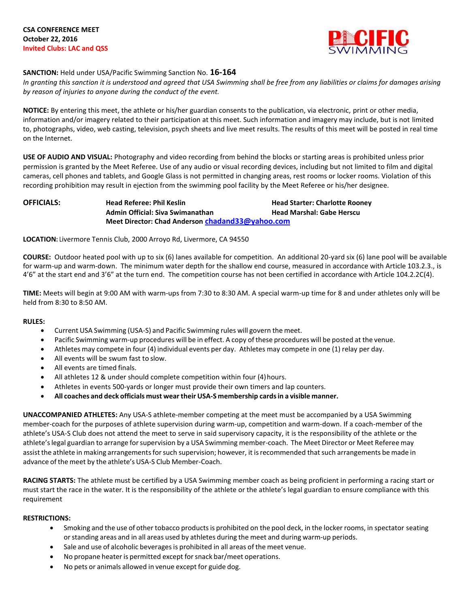

## **SANCTION:** Held under USA/Pacific Swimming Sanction No. **16-164**

*In granting this sanction it is understood and agreed that USA Swimming shall be free from any liabilities or claims for damages arising by reason of injuries to anyone during the conduct of the event.*

**NOTICE:** By entering this meet, the athlete or his/her guardian consents to the publication, via electronic, print or other media, information and/or imagery related to their participation at this meet. Such information and imagery may include, but is not limited to, photographs, video, web casting, television, psych sheets and live meet results. The results of this meet will be posted in real time on the Internet.

**USE OF AUDIO AND VISUAL:** Photography and video recording from behind the blocks or starting areas is prohibited unless prior permission is granted by the Meet Referee. Use of any audio or visual recording devices, including but not limited to film and digital cameras, cell phones and tablets, and Google Glass is not permitted in changing areas, rest rooms or locker rooms. Violation of this recording prohibition may result in ejection from the swimming pool facility by the Meet Referee or his/her designee.

**OFFICIALS: Head Referee: Phil Keslin Head Starter: Charlotte Rooney Admin Official: Siva Swimanathan Head Marshal: Gabe Herscu Meet Director: Chad Anderson [chadand33@yahoo.com](mailto:chadand33@yahoo.com)**

**LOCATION:** Livermore Tennis Club, 2000 Arroyo Rd, Livermore, CA 94550

**COURSE:** Outdoor heated pool with up to six (6) lanes available for competition. An additional 20-yard six (6) lane pool will be available for warm-up and warm-down. The minimum water depth for the shallow end course, measured in accordance with Article 103.2.3., is 4'6" at the start end and 3'6" at the turn end. The competition course has not been certified in accordance with Article 104.2.2C(4).

**TIME:** Meets will begin at 9:00 AM with warm-ups from 7:30 to 8:30 AM. A special warm-up time for 8 and under athletes only will be held from 8:30 to 8:50 AM.

#### **RULES:**

- Current USA Swimming (USA-S) and Pacific Swimming rules will govern the meet.
- Pacific Swimming warm-up procedures will be in effect. A copy of these procedures will be posted at the venue.
- Athletes may compete in four (4) individual events per day. Athletes may compete in one (1) relay per day.
- All events will be swum fast to slow.
- All events are timed finals.
- All athletes 12 & under should complete competition within four (4)hours.
- Athletes in events 500-yards or longer must provide their own timers and lap counters.
- **All coaches and deck officials must weartheir USA-S membership cardsin a visible manner.**

**UNACCOMPANIED ATHLETES:** Any USA-S athlete-member competing at the meet must be accompanied by a USA Swimming member-coach for the purposes of athlete supervision during warm-up, competition and warm-down. If a coach-member of the athlete's USA-S Club does not attend the meet to serve in said supervisory capacity, it is the responsibility of the athlete or the athlete's legal guardian to arrange for supervision by a USA Swimming member-coach. The Meet Director or Meet Referee may assist the athlete in making arrangements for such supervision; however, it is recommended that such arrangements be made in advance of the meet by the athlete's USA-S Club Member-Coach.

**RACING STARTS:** The athlete must be certified by a USA Swimming member coach as being proficient in performing a racing start or must start the race in the water. It is the responsibility of the athlete or the athlete's legal guardian to ensure compliance with this requirement

#### **RESTRICTIONS:**

- Smoking and the use of other tobacco productsis prohibited on the pool deck, in the locker rooms, in spectator seating or standing areas and in all areas used by athletes during the meet and during warm-up periods.
- Sale and use of alcoholic beveragesis prohibited in all areas of the meet venue.
- No propane heater is permitted except for snack bar/meet operations.
- No pets or animals allowed in venue except for guide dog.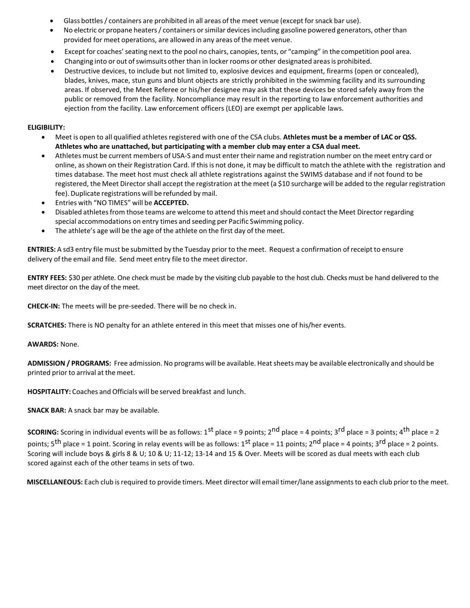- Glass bottles / containers are prohibited in all areas of the meet venue (except for snack bar use).
- No electric or propane heaters / containers or similar devices including gasoline powered generators, other than provided for meet operations, are allowed in any areas of the meet venue.
- Except for coaches' seating next to the pool no chairs, canopies, tents, or "camping" in the competition pool area.
- Changing into or out of swimsuits other than in locker rooms or other designated areas is prohibited.
- Destructive devices, to include but not limited to, explosive devices and equipment, firearms (open or concealed), blades, knives, mace, stun guns and blunt objects are strictly prohibited in the swimming facility and its surrounding areas. If observed, the Meet Referee or his/her designee may ask that these devices be stored safely away from the public or removed from the facility. Noncompliance may result in the reporting to law enforcement authorities and ejection from the facility. Law enforcement officers (LEO) are exempt per applicable laws.

### **ELIGIBILITY:**

- Meet is open to all qualified athletesregistered with one of the CSA clubs. **Athletes must be a member of LAC or QSS. Athletes who are unattached, but participating with a member club may enter a CSA dual meet.**
- Athletes must be current members of USA-S and must enter their name and registration number on the meet entry card or online, asshown on their Registration Card. If thisis not done, it may be difficult to match the athlete with the registration and times database. The meet host must check all athlete registrations against the SWIMS database and if not found to be registered, the Meet Director shall accept the registration at the meet (a \$10 surcharge will be added to the regular registration fee). Duplicate registrations will be refunded by mail.
- Entries with "NO TIMES" will be **ACCEPTED.**
- Disabled athletesfrom those teams are welcome to attend this meet and should contact the Meet Directorregarding special accommodations on entry times and seeding per Pacific Swimming policy.
- The athlete's age will be the age of the athlete on the first day of the meet.

**ENTRIES:** A sd3 entry file must be submitted by the Tuesday prior to the meet. Request a confirmation ofreceipt to ensure delivery ofthe email and file. Send meet entry file to the meet director.

**ENTRY FEES:** \$30 per athlete. One check must be made by the visiting club payable to the host club. Checks must be hand delivered to the meet director on the day of the meet.

**CHECK-IN:** The meets will be pre-seeded. There will be no check in.

**SCRATCHES:** There is NO penalty for an athlete entered in this meet that misses one of his/her events.

**AWARDS:** None.

**ADMISSION / PROGRAMS:** Free admission. No programs will be available. Heat sheets may be available electronically and should be printed prior to arrival at the meet.

**HOSPITALITY:** Coaches and Officials will be served breakfast and lunch.

**SNACK BAR:** A snack bar may be available.

**SCORING:** Scoring in individual events will be as follows: 1<sup>st</sup> place = 9 points; 2<sup>nd</sup> place = 4 points; 3<sup>rd</sup> place = 3 points; 4<sup>th</sup> place = 2 points; 5<sup>th</sup> place = 1 point. Scoring in relay events will be as follows: 1<sup>st</sup> place = 11 points; 2<sup>nd</sup> place = 4 points; 3<sup>rd</sup> place = 2 points. Scoring will include boys & girls 8 & U; 10 & U; 11-12; 13-14 and 15 & Over. Meets will be scored as dual meets with each club scored against each of the other teams in sets of two.

**MISCELLANEOUS:** Each club isrequired to provide timers. Meet director will email timer/lane assignmentsto each club prior to the meet.